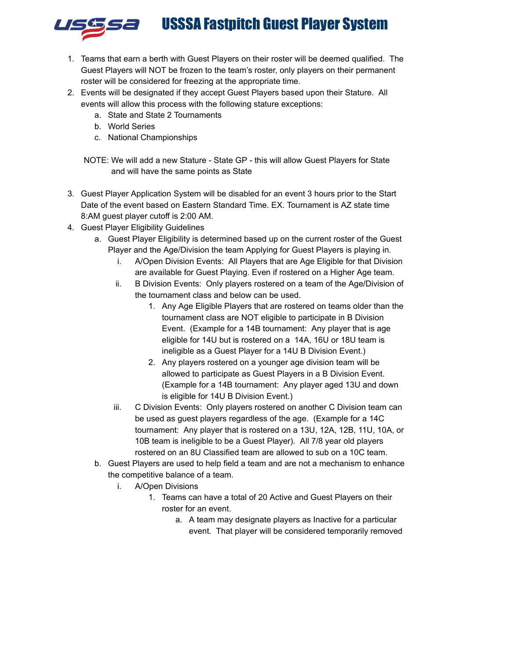# USSSA Fastpitch Guest Player System



- 1. Teams that earn a berth with Guest Players on their roster will be deemed qualified. The Guest Players will NOT be frozen to the team's roster, only players on their permanent roster will be considered for freezing at the appropriate time.
- 2. Events will be designated if they accept Guest Players based upon their Stature. All events will allow this process with the following stature exceptions:
	- a. State and State 2 Tournaments
	- b. World Series
	- c. National Championships
	- NOTE: We will add a new Stature State GP this will allow Guest Players for State and will have the same points as State
- 3. Guest Player Application System will be disabled for an event 3 hours prior to the Start Date of the event based on Eastern Standard Time. EX. Tournament is AZ state time 8:AM guest player cutoff is 2:00 AM.
- 4. Guest Player Eligibility Guidelines
	- a. Guest Player Eligibility is determined based up on the current roster of the Guest Player and the Age/Division the team Applying for Guest Players is playing in.
		- i. A/Open Division Events: All Players that are Age Eligible for that Division are available for Guest Playing. Even if rostered on a Higher Age team.
		- ii. B Division Events: Only players rostered on a team of the Age/Division of the tournament class and below can be used.
			- 1. Any Age Eligible Players that are rostered on teams older than the tournament class are NOT eligible to participate in B Division Event. (Example for a 14B tournament: Any player that is age eligible for 14U but is rostered on a 14A, 16U or 18U team is ineligible as a Guest Player for a 14U B Division Event.)
			- 2. Any players rostered on a younger age division team will be allowed to participate as Guest Players in a B Division Event. (Example for a 14B tournament: Any player aged 13U and down is eligible for 14U B Division Event.)
		- iii. C Division Events: Only players rostered on another C Division team can be used as guest players regardless of the age. (Example for a 14C tournament: Any player that is rostered on a 13U, 12A, 12B, 11U, 10A, or 10B team is ineligible to be a Guest Player). All 7/8 year old players rostered on an 8U Classified team are allowed to sub on a 10C team.
	- b. Guest Players are used to help field a team and are not a mechanism to enhance the competitive balance of a team.
		- i. A/Open Divisions
			- 1. Teams can have a total of 20 Active and Guest Players on their roster for an event.
				- a. A team may designate players as Inactive for a particular event. That player will be considered temporarily removed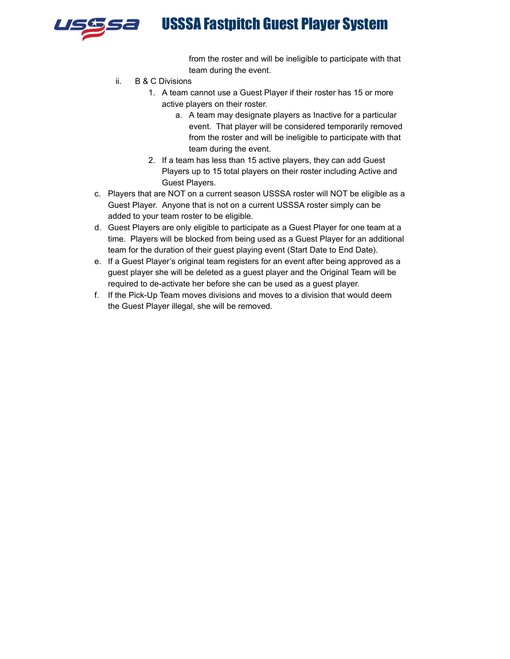

# USSSA Fastpitch Guest Player System

from the roster and will be ineligible to participate with that team during the event.

- ii. B & C Divisions
	- 1. A team cannot use a Guest Player if their roster has 15 or more active players on their roster.
		- a. A team may designate players as Inactive for a particular event. That player will be considered temporarily removed from the roster and will be ineligible to participate with that team during the event.
	- 2. If a team has less than 15 active players, they can add Guest Players up to 15 total players on their roster including Active and Guest Players.
- c. Players that are NOT on a current season USSSA roster will NOT be eligible as a Guest Player. Anyone that is not on a current USSSA roster simply can be added to your team roster to be eligible.
- d. Guest Players are only eligible to participate as a Guest Player for one team at a time. Players will be blocked from being used as a Guest Player for an additional team for the duration of their guest playing event (Start Date to End Date).
- e. If a Guest Player's original team registers for an event after being approved as a guest player she will be deleted as a guest player and the Original Team will be required to de-activate her before she can be used as a guest player.
- f. If the Pick-Up Team moves divisions and moves to a division that would deem the Guest Player illegal, she will be removed.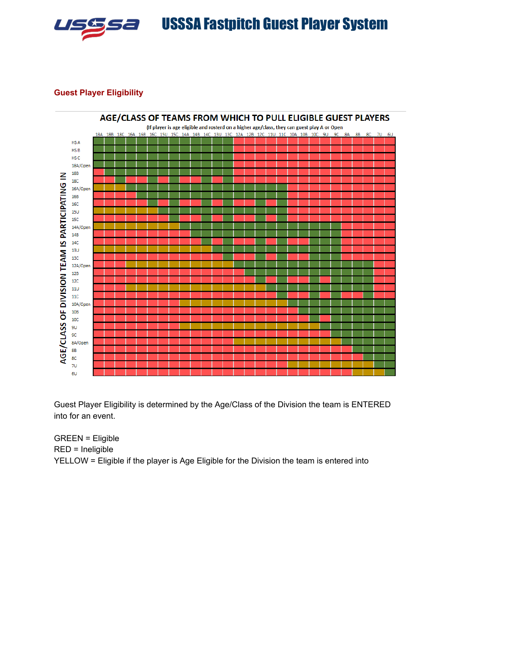

## **Guest Player Eligibility**



Guest Player Eligibility is determined by the Age/Class of the Division the team is ENTERED into for an event.

GREEN = Eligible RED = Ineligible YELLOW = Eligible if the player is Age Eligible for the Division the team is entered into